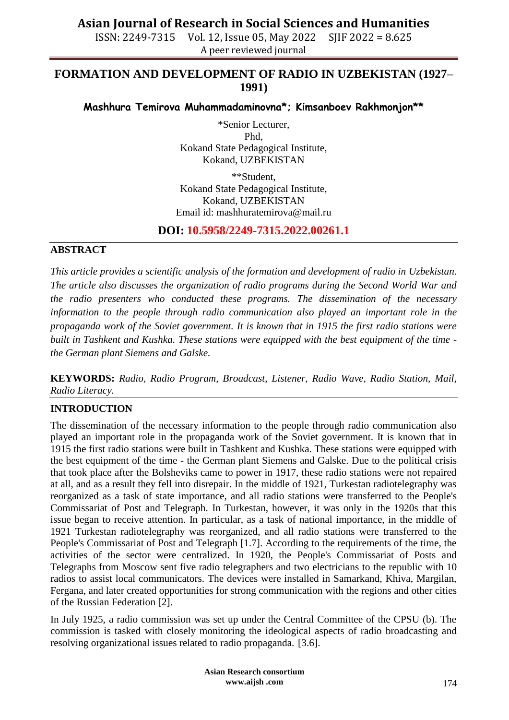ISSN: 2249-7315 Vol. 12, Issue 05, May 2022 SJIF 2022 = 8.625 A peer reviewed journal

#### **FORMATION AND DEVELOPMENT OF RADIO IN UZBEKISTAN (1927– 1991)**

**Mashhura Temirova Muhammadaminovna\*; Kimsanboev Rakhmonjon\*\***

\*Senior Lecturer, Phd, Kokand State Pedagogical Institute, Kokand, UZBEKISTAN

\*\*Student, Kokand State Pedagogical Institute, Kokand, UZBEKISTAN Email id: mashhuratemirova@mail.ru

#### **DOI: 10.5958/2249-7315.2022.00261.1**

#### **ABSTRACT**

*This article provides a scientific analysis of the formation and development of radio in Uzbekistan. The article also discusses the organization of radio programs during the Second World War and the radio presenters who conducted these programs. The dissemination of the necessary information to the people through radio communication also played an important role in the propaganda work of the Soviet government. It is known that in 1915 the first radio stations were built in Tashkent and Kushka. These stations were equipped with the best equipment of the time the German plant Siemens and Galske.*

**KEYWORDS:** *Radio, Radio Program, Broadcast, Listener, Radio Wave, Radio Station, Mail, Radio Literacy.*

#### **INTRODUCTION**

The dissemination of the necessary information to the people through radio communication also played an important role in the propaganda work of the Soviet government. It is known that in 1915 the first radio stations were built in Tashkent and Kushka. These stations were equipped with the best equipment of the time - the German plant Siemens and Galske. Due to the political crisis that took place after the Bolsheviks came to power in 1917, these radio stations were not repaired at all, and as a result they fell into disrepair. In the middle of 1921, Turkestan radiotelegraphy was reorganized as a task of state importance, and all radio stations were transferred to the People's Commissariat of Post and Telegraph. In Turkestan, however, it was only in the 1920s that this issue began to receive attention. In particular, as a task of national importance, in the middle of 1921 Turkestan radiotelegraphy was reorganized, and all radio stations were transferred to the People's Commissariat of Post and Telegraph [1.7]. According to the requirements of the time, the activities of the sector were centralized. In 1920, the People's Commissariat of Posts and Telegraphs from Moscow sent five radio telegraphers and two electricians to the republic with 10 radios to assist local communicators. The devices were installed in Samarkand, Khiva, Margilan, Fergana, and later created opportunities for strong communication with the regions and other cities of the Russian Federation [2].

In July 1925, a radio commission was set up under the Central Committee of the CPSU (b). The commission is tasked with closely monitoring the ideological aspects of radio broadcasting and resolving organizational issues related to radio propaganda. [3.6].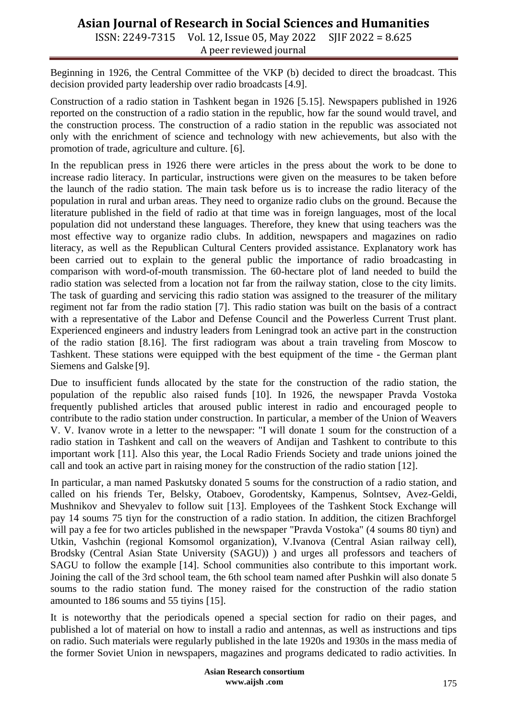ISSN: 2249-7315 Vol. 12, Issue 05, May 2022 SJIF 2022 = 8.625 A peer reviewed journal

Beginning in 1926, the Central Committee of the VKP (b) decided to direct the broadcast. This decision provided party leadership over radio broadcasts [4.9].

Construction of a radio station in Tashkent began in 1926 [5.15]. Newspapers published in 1926 reported on the construction of a radio station in the republic, how far the sound would travel, and the construction process. The construction of a radio station in the republic was associated not only with the enrichment of science and technology with new achievements, but also with the promotion of trade, agriculture and culture. [6].

In the republican press in 1926 there were articles in the press about the work to be done to increase radio literacy. In particular, instructions were given on the measures to be taken before the launch of the radio station. The main task before us is to increase the radio literacy of the population in rural and urban areas. They need to organize radio clubs on the ground. Because the literature published in the field of radio at that time was in foreign languages, most of the local population did not understand these languages. Therefore, they knew that using teachers was the most effective way to organize radio clubs. In addition, newspapers and magazines on radio literacy, as well as the Republican Cultural Centers provided assistance. Explanatory work has been carried out to explain to the general public the importance of radio broadcasting in comparison with word-of-mouth transmission. The 60-hectare plot of land needed to build the radio station was selected from a location not far from the railway station, close to the city limits. The task of guarding and servicing this radio station was assigned to the treasurer of the military regiment not far from the radio station [7]. This radio station was built on the basis of a contract with a representative of the Labor and Defense Council and the Powerless Current Trust plant. Experienced engineers and industry leaders from Leningrad took an active part in the construction of the radio station [8.16]. The first radiogram was about a train traveling from Moscow to Tashkent. These stations were equipped with the best equipment of the time - the German plant Siemens and Galske [9].

Due to insufficient funds allocated by the state for the construction of the radio station, the population of the republic also raised funds [10]. In 1926, the newspaper Pravda Vostoka frequently published articles that aroused public interest in radio and encouraged people to contribute to the radio station under construction. In particular, a member of the Union of Weavers V. V. Ivanov wrote in a letter to the newspaper: "I will donate 1 soum for the construction of a radio station in Tashkent and call on the weavers of Andijan and Tashkent to contribute to this important work [11]. Also this year, the Local Radio Friends Society and trade unions joined the call and took an active part in raising money for the construction of the radio station [12].

In particular, a man named Paskutsky donated 5 soums for the construction of a radio station, and called on his friends Ter, Belsky, Otaboev, Gorodentsky, Kampenus, Solntsev, Avez-Geldi, Mushnikov and Shevyalev to follow suit [13]. Employees of the Tashkent Stock Exchange will pay 14 soums 75 tiyn for the construction of a radio station. In addition, the citizen Brachforgel will pay a fee for two articles published in the newspaper "Pravda Vostoka" (4 soums 80 tiyn) and Utkin, Vashchin (regional Komsomol organization), V.Ivanova (Central Asian railway cell), Brodsky (Central Asian State University (SAGU)) ) and urges all professors and teachers of SAGU to follow the example [14]. School communities also contribute to this important work. Joining the call of the 3rd school team, the 6th school team named after Pushkin will also donate 5 soums to the radio station fund. The money raised for the construction of the radio station amounted to 186 soums and 55 tiyins [15].

It is noteworthy that the periodicals opened a special section for radio on their pages, and published a lot of material on how to install a radio and antennas, as well as instructions and tips on radio. Such materials were regularly published in the late 1920s and 1930s in the mass media of the former Soviet Union in newspapers, magazines and programs dedicated to radio activities. In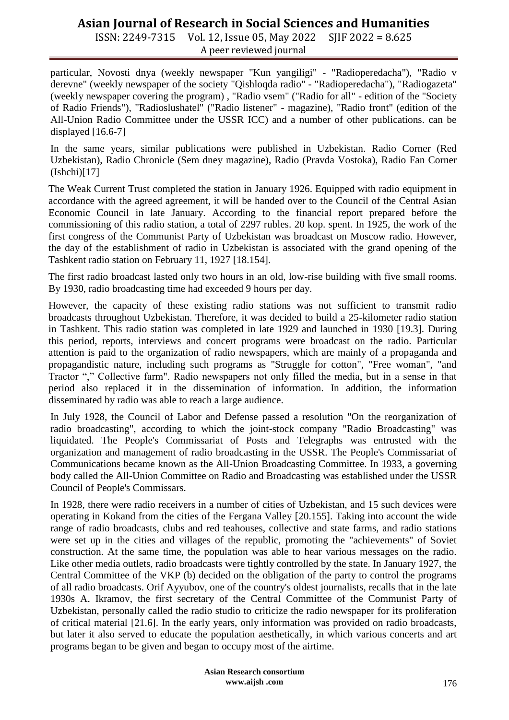ISSN: 2249-7315 Vol. 12, Issue 05, May 2022 SJIF 2022 = 8.625 A peer reviewed journal

particular, Novosti dnya (weekly newspaper "Kun yangiligi" - "Radioperedacha"), "Radio v derevne" (weekly newspaper of the society "Qishloqda radio" - "Radioperedacha"), "Radiogazeta" (weekly newspaper covering the program) , "Radio vsem" ("Radio for all" - edition of the "Society of Radio Friends"), "Radioslushatel" ("Radio listener" - magazine), "Radio front" (edition of the All-Union Radio Committee under the USSR ICC) and a number of other publications. can be displayed  $[16.6-7]$ 

In the same years, similar publications were published in Uzbekistan. Radio Corner (Red Uzbekistan), Radio Chronicle (Sem dney magazine), Radio (Pravda Vostoka), Radio Fan Corner  $(Ishchi)[17]$ 

The Weak Current Trust completed the station in January 1926. Equipped with radio equipment in accordance with the agreed agreement, it will be handed over to the Council of the Central Asian Economic Council in late January. According to the financial report prepared before the commissioning of this radio station, a total of 2297 rubles. 20 kop. spent. In 1925, the work of the first congress of the Communist Party of Uzbekistan was broadcast on Moscow radio. However, the day of the establishment of radio in Uzbekistan is associated with the grand opening of the Tashkent radio station on February 11, 1927 [18.154].

The first radio broadcast lasted only two hours in an old, low-rise building with five small rooms. By 1930, radio broadcasting time had exceeded 9 hours per day.

However, the capacity of these existing radio stations was not sufficient to transmit radio broadcasts throughout Uzbekistan. Therefore, it was decided to build a 25-kilometer radio station in Tashkent. This radio station was completed in late 1929 and launched in 1930 [19.3]. During this period, reports, interviews and concert programs were broadcast on the radio. Particular attention is paid to the organization of radio newspapers, which are mainly of a propaganda and propagandistic nature, including such programs as "Struggle for cotton", "Free woman", "and Tractor "," Collective farm". Radio newspapers not only filled the media, but in a sense in that period also replaced it in the dissemination of information. In addition, the information disseminated by radio was able to reach a large audience.

In July 1928, the Council of Labor and Defense passed a resolution "On the reorganization of radio broadcasting", according to which the joint-stock company "Radio Broadcasting" was liquidated. The People's Commissariat of Posts and Telegraphs was entrusted with the organization and management of radio broadcasting in the USSR. The People's Commissariat of Communications became known as the All-Union Broadcasting Committee. In 1933, a governing body called the All-Union Committee on Radio and Broadcasting was established under the USSR Council of People's Commissars.

In 1928, there were radio receivers in a number of cities of Uzbekistan, and 15 such devices were operating in Kokand from the cities of the Fergana Valley [20.155]. Taking into account the wide range of radio broadcasts, clubs and red teahouses, collective and state farms, and radio stations were set up in the cities and villages of the republic, promoting the "achievements" of Soviet construction. At the same time, the population was able to hear various messages on the radio. Like other media outlets, radio broadcasts were tightly controlled by the state. In January 1927, the Central Committee of the VKP (b) decided on the obligation of the party to control the programs of all radio broadcasts. Orif Ayyubov, one of the country's oldest journalists, recalls that in the late 1930s A. Ikramov, the first secretary of the Central Committee of the Communist Party of Uzbekistan, personally called the radio studio to criticize the radio newspaper for its proliferation of critical material [21.6]. In the early years, only information was provided on radio broadcasts, but later it also served to educate the population aesthetically, in which various concerts and art programs began to be given and began to occupy most of the airtime.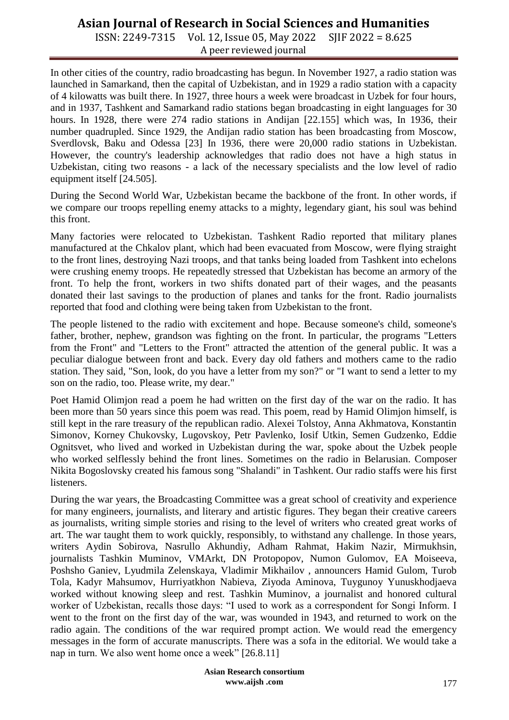ISSN: 2249-7315 Vol. 12, Issue 05, May 2022 SJIF 2022 = 8.625 A peer reviewed journal

In other cities of the country, radio broadcasting has begun. In November 1927, a radio station was launched in Samarkand, then the capital of Uzbekistan, and in 1929 a radio station with a capacity of 4 kilowatts was built there. In 1927, three hours a week were broadcast in Uzbek for four hours, and in 1937, Tashkent and Samarkand radio stations began broadcasting in eight languages for 30 hours. In 1928, there were 274 radio stations in Andijan [22.155] which was, In 1936, their number quadrupled. Since 1929, the Andijan radio station has been broadcasting from Moscow, Sverdlovsk, Baku and Odessa [23] In 1936, there were 20,000 radio stations in Uzbekistan. However, the country's leadership acknowledges that radio does not have a high status in Uzbekistan, citing two reasons - a lack of the necessary specialists and the low level of radio equipment itself [24.505].

During the Second World War, Uzbekistan became the backbone of the front. In other words, if we compare our troops repelling enemy attacks to a mighty, legendary giant, his soul was behind this front.

Many factories were relocated to Uzbekistan. Tashkent Radio reported that military planes manufactured at the Chkalov plant, which had been evacuated from Moscow, were flying straight to the front lines, destroying Nazi troops, and that tanks being loaded from Tashkent into echelons were crushing enemy troops. He repeatedly stressed that Uzbekistan has become an armory of the front. To help the front, workers in two shifts donated part of their wages, and the peasants donated their last savings to the production of planes and tanks for the front. Radio journalists reported that food and clothing were being taken from Uzbekistan to the front.

The people listened to the radio with excitement and hope. Because someone's child, someone's father, brother, nephew, grandson was fighting on the front. In particular, the programs "Letters from the Front" and "Letters to the Front" attracted the attention of the general public. It was a peculiar dialogue between front and back. Every day old fathers and mothers came to the radio station. They said, "Son, look, do you have a letter from my son?" or "I want to send a letter to my son on the radio, too. Please write, my dear."

Poet Hamid Olimjon read a poem he had written on the first day of the war on the radio. It has been more than 50 years since this poem was read. This poem, read by Hamid Olimjon himself, is still kept in the rare treasury of the republican radio. Alexei Tolstoy, Anna Akhmatova, Konstantin Simonov, Korney Chukovsky, Lugovskoy, Petr Pavlenko, Iosif Utkin, Semen Gudzenko, Eddie Ognitsvet, who lived and worked in Uzbekistan during the war, spoke about the Uzbek people who worked selflessly behind the front lines. Sometimes on the radio in Belarusian. Composer Nikita Bogoslovsky created his famous song "Shalandi" in Tashkent. Our radio staffs were his first listeners.

During the war years, the Broadcasting Committee was a great school of creativity and experience for many engineers, journalists, and literary and artistic figures. They began their creative careers as journalists, writing simple stories and rising to the level of writers who created great works of art. The war taught them to work quickly, responsibly, to withstand any challenge. In those years, writers Aydin Sobirova, Nasrullo Akhundiy, Adham Rahmat, Hakim Nazir, Mirmukhsin, journalists Tashkin Muminov, VMArkt, DN Protopopov, Numon Gulomov, EA Moiseeva, Poshsho Ganiev, Lyudmila Zelenskaya, Vladimir Mikhailov , announcers Hamid Gulom, Turob Tola, Kadyr Mahsumov, Hurriyatkhon Nabieva, Ziyoda Aminova, Tuygunoy Yunuskhodjaeva worked without knowing sleep and rest. Tashkin Muminov, a journalist and honored cultural worker of Uzbekistan, recalls those days: "I used to work as a correspondent for Songi Inform. I went to the front on the first day of the war, was wounded in 1943, and returned to work on the radio again. The conditions of the war required prompt action. We would read the emergency messages in the form of accurate manuscripts. There was a sofa in the editorial. We would take a nap in turn. We also went home once a week" [26.8.11]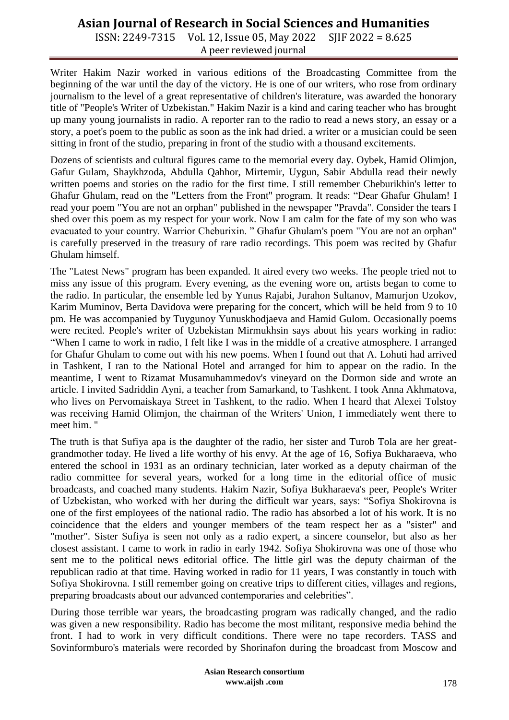ISSN: 2249-7315 Vol. 12, Issue 05, May 2022 SJIF 2022 = 8.625 A peer reviewed journal

Writer Hakim Nazir worked in various editions of the Broadcasting Committee from the beginning of the war until the day of the victory. He is one of our writers, who rose from ordinary journalism to the level of a great representative of children's literature, was awarded the honorary title of "People's Writer of Uzbekistan." Hakim Nazir is a kind and caring teacher who has brought up many young journalists in radio. A reporter ran to the radio to read a news story, an essay or a story, a poet's poem to the public as soon as the ink had dried. a writer or a musician could be seen sitting in front of the studio, preparing in front of the studio with a thousand excitements.

Dozens of scientists and cultural figures came to the memorial every day. Oybek, Hamid Olimjon, Gafur Gulam, Shaykhzoda, Abdulla Qahhor, Mirtemir, Uygun, Sabir Abdulla read their newly written poems and stories on the radio for the first time. I still remember Cheburikhin's letter to Ghafur Ghulam, read on the "Letters from the Front" program. It reads: "Dear Ghafur Ghulam! I read your poem "You are not an orphan" published in the newspaper "Pravda". Consider the tears I shed over this poem as my respect for your work. Now I am calm for the fate of my son who was evacuated to your country. Warrior Cheburixin. " Ghafur Ghulam's poem "You are not an orphan" is carefully preserved in the treasury of rare radio recordings. This poem was recited by Ghafur Ghulam himself.

The "Latest News" program has been expanded. It aired every two weeks. The people tried not to miss any issue of this program. Every evening, as the evening wore on, artists began to come to the radio. In particular, the ensemble led by Yunus Rajabi, Jurahon Sultanov, Mamurjon Uzokov, Karim Muminov, Berta Davidova were preparing for the concert, which will be held from 9 to 10 pm. He was accompanied by Tuygunoy Yunuskhodjaeva and Hamid Gulom. Occasionally poems were recited. People's writer of Uzbekistan Mirmukhsin says about his years working in radio: "When I came to work in radio, I felt like I was in the middle of a creative atmosphere. I arranged for Ghafur Ghulam to come out with his new poems. When I found out that A. Lohuti had arrived in Tashkent, I ran to the National Hotel and arranged for him to appear on the radio. In the meantime, I went to Rizamat Musamuhammedov's vineyard on the Dormon side and wrote an article. I invited Sadriddin Ayni, a teacher from Samarkand, to Tashkent. I took Anna Akhmatova, who lives on Pervomaiskaya Street in Tashkent, to the radio. When I heard that Alexei Tolstoy was receiving Hamid Olimjon, the chairman of the Writers' Union, I immediately went there to meet him. "

The truth is that Sufiya apa is the daughter of the radio, her sister and Turob Tola are her greatgrandmother today. He lived a life worthy of his envy. At the age of 16, Sofiya Bukharaeva, who entered the school in 1931 as an ordinary technician, later worked as a deputy chairman of the radio committee for several years, worked for a long time in the editorial office of music broadcasts, and coached many students. Hakim Nazir, Sofiya Bukharaeva's peer, People's Writer of Uzbekistan, who worked with her during the difficult war years, says: "Sofiya Shokirovna is one of the first employees of the national radio. The radio has absorbed a lot of his work. It is no coincidence that the elders and younger members of the team respect her as a "sister" and "mother". Sister Sufiya is seen not only as a radio expert, a sincere counselor, but also as her closest assistant. I came to work in radio in early 1942. Sofiya Shokirovna was one of those who sent me to the political news editorial office. The little girl was the deputy chairman of the republican radio at that time. Having worked in radio for 11 years, I was constantly in touch with Sofiya Shokirovna. I still remember going on creative trips to different cities, villages and regions, preparing broadcasts about our advanced contemporaries and celebrities".

During those terrible war years, the broadcasting program was radically changed, and the radio was given a new responsibility. Radio has become the most militant, responsive media behind the front. I had to work in very difficult conditions. There were no tape recorders. TASS and Sovinformburo's materials were recorded by Shorinafon during the broadcast from Moscow and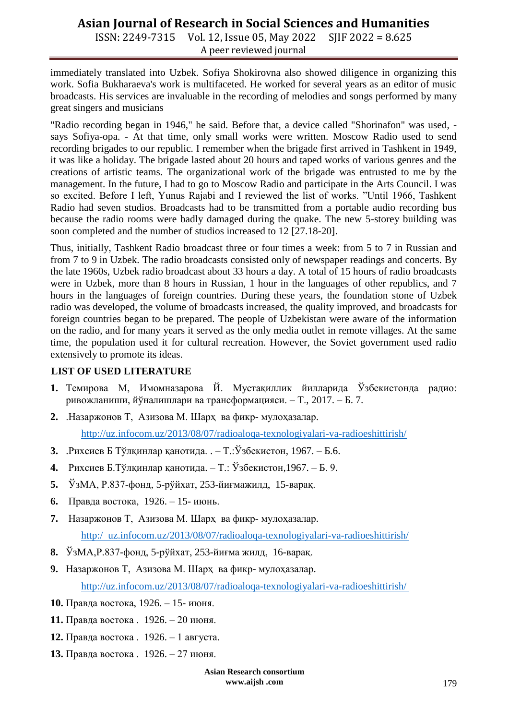ISSN: 2249-7315 Vol. 12, Issue 05, May 2022 SJIF 2022 = 8.625 A peer reviewed journal

immediately translated into Uzbek. Sofiya Shokirovna also showed diligence in organizing this work. Sofia Bukharaeva's work is multifaceted. He worked for several years as an editor of music broadcasts. His services are invaluable in the recording of melodies and songs performed by many great singers and musicians

"Radio recording began in 1946," he said. Before that, a device called "Shorinafon" was used, says Sofiya-opa. - At that time, only small works were written. Moscow Radio used to send recording brigades to our republic. I remember when the brigade first arrived in Tashkent in 1949, it was like a holiday. The brigade lasted about 20 hours and taped works of various genres and the creations of artistic teams. The organizational work of the brigade was entrusted to me by the management. In the future, I had to go to Moscow Radio and participate in the Arts Council. I was so excited. Before I left, Yunus Rajabi and I reviewed the list of works. "Until 1966, Tashkent Radio had seven studios. Broadcasts had to be transmitted from a portable audio recording bus because the radio rooms were badly damaged during the quake. The new 5-storey building was soon completed and the number of studios increased to 12 [27.18-20].

Thus, initially, Tashkent Radio broadcast three or four times a week: from 5 to 7 in Russian and from 7 to 9 in Uzbek. The radio broadcasts consisted only of newspaper readings and concerts. By the late 1960s, Uzbek radio broadcast about 33 hours a day. A total of 15 hours of radio broadcasts were in Uzbek, more than 8 hours in Russian, 1 hour in the languages of other republics, and 7 hours in the languages of foreign countries. During these years, the foundation stone of Uzbek radio was developed, the volume of broadcasts increased, the quality improved, and broadcasts for foreign countries began to be prepared. The people of Uzbekistan were aware of the information on the radio, and for many years it served as the only media outlet in remote villages. At the same time, the population used it for cultural recreation. However, the Soviet government used radio extensively to promote its ideas.

#### **LIST OF USED LITERATURE**

- **1.** Темирова М, Имомназарова Й. Мустақиллик йилларида Ўзбекистонда радио: ривожланиши, йўналишлари ва трансформацияси. – Т., 2017. – Б. 7.
- **2.** .Назаржонов Т, Азизова M. [Шарҳ ва фикр-](http://uz.infocom.uz/category/sharh/) мулоҳазалар. <http://uz.infocom.uz/2013/08/07/radioaloqa-texnologiyalari-va-radioeshittirish/>
- **3.** .Рихсиев Б Тўлқинлар қанотида. . Т.:Ўзбекистон, 1967. Б.6.
- **4.** Рихсиев Б.Тўлқинлар қанотида. Т.: Ўзбекистон,1967. Б. 9.
- **5.** ЎзМА, Р.837-фонд, 5-рўйхат, 253-йиғмажилд, 15-варақ.
- **6.** Правда востока, 1926. 15- июнь.
- **7.** Назаржонов Т, Азизова M. [Шарҳ ва фикр-](http://uz.infocom.uz/category/sharh/) мулоҳазалар. [http:/ uz.infocom.uz/2013/08/07/radioaloqa-texnologiyalari-va-radioeshittirish/](http://uz.infocom.uz/2013/08/07/radioaloqa-texnologiyalari-va-radioeshittirish/)
- **8.** ЎзМА,Р.837-фонд, 5-рўйхат, 253-йиғма жилд, 16-варақ.
- **9.** Назаржонов Т, Азизова M. [Шарҳ ва фикр-](http://uz.infocom.uz/category/sharh/) мулоҳазалар. <http://uz.infocom.uz/2013/08/07/radioaloqa-texnologiyalari-va-radioeshittirish/>
- **10.** Правда востока, 1926. 15- июня.
- **11.** Правда востока . 1926. 20 июня.
- **12.** Правда востока . 1926. 1 августа.
- **13.** Правда востока . 1926. 27 июня.